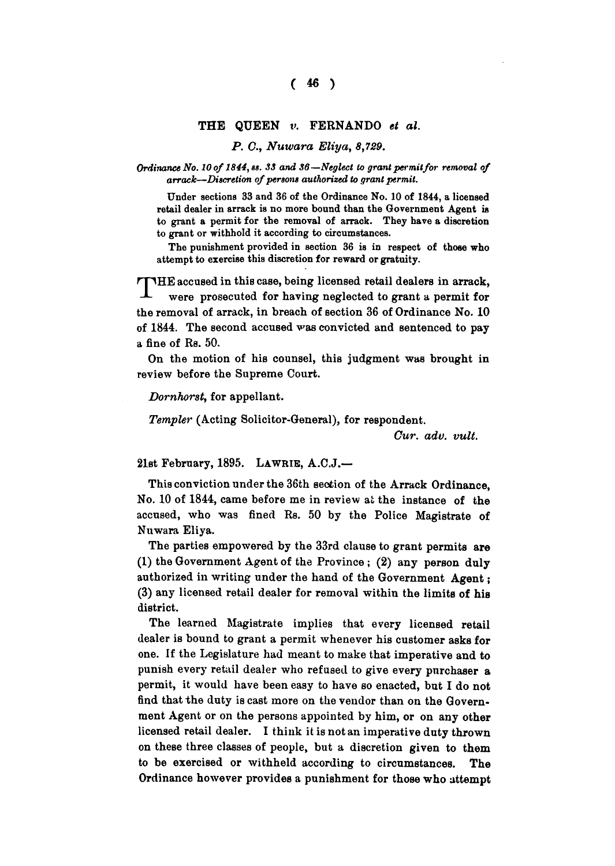## **THE QUEEN v. FERNANDO** *et al.*

*P. C, Nuwara Eliya, 8,729.* 

*Ordinance No. 10 of 1844, ss. 33 and 36* —*Neglect to grant permit for removal of arrack—Discretion of persons authorized to grant permit.* 

Under sections 33 and 36 of the Ordinance No . 10 of 1844, a licensed retail dealer in arrack is no more bound than the Government Agent is to grant a permit for the removal of arrack. They have a discretion to grant or withhold it according to circumstances.

The punishment provided in section 36 is in respect of those who attempt to exercise this discretion for reward or gratuity.

T **HE accused in this case, being licensed retail dealers in arrack, were prosecuted for having neglected to grant a permit for the removal of arrack, in breach of section 36 of Ordinance No. 10 of 1844. The second accused was convicted and sentenced to pay a fine of Rs. 50.** 

**On the motion of his counsel, this judgment was brought in review before the Supreme Court.** 

*Dornhorst,* **for appellant.** 

*Tempter* **(Acting Solicitor-General), for respondent.** 

*Cur. adv. vult.* 

**21st February, 1895. LAWRIE , A.C.J.—** 

**This conviction under the 36th section of the Arrack Ordinance, No. 10 of 1844, came before me in review at the instance of the accused, who was fined Rs. 50 by the Police Magistrate of Nuwara Eliya.** 

**The parties empowered by the 33rd clause to grant permits are (1) the Government Agent of the Province ; (2) any person duly authorized in writing under the hand of the Government Agent; (3) any licensed retail dealer for removal within the limits of his district.** 

**The learned Magistrate implies that every licensed retail dealer is bound to grant a permit whenever his customer asks for one. If the Legislature had meant to make that imperative and to punish every retail dealer who refused to give every purchaser a permit, it would have been easy to have so enacted, but I do not find that the duty is cast more on the vendor than on the Government Agent or on the persons appointed by him, or on any other licensed retail dealer. I think it is not an imperative duty thrown on these three classes of people, but a discretion given to them to be exercised or withheld according to circumstances. The Ordinance however provides a punishment for those who attempt**